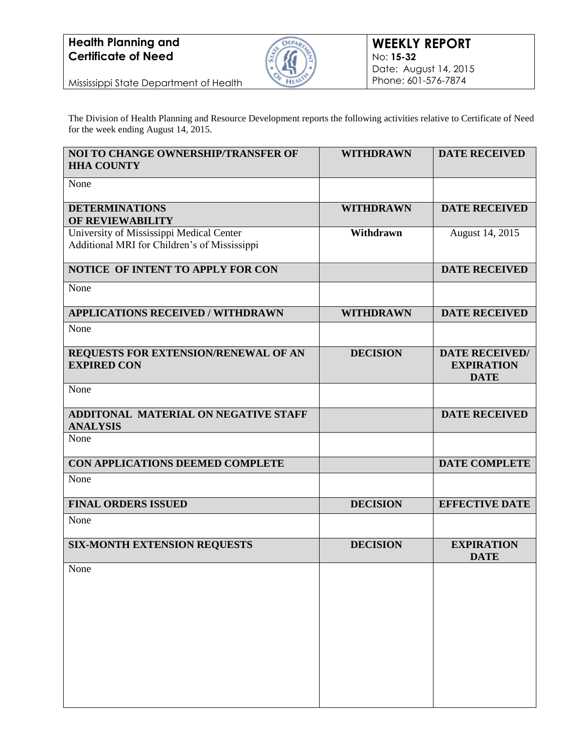# **Health Planning and Certificate of Need**



Mississippi State Department of Health

The Division of Health Planning and Resource Development reports the following activities relative to Certificate of Need for the week ending August 14, 2015.

| <b>NOI TO CHANGE OWNERSHIP/TRANSFER OF</b><br><b>HHA COUNTY</b>                          | <b>WITHDRAWN</b> | <b>DATE RECEIVED</b>                                      |
|------------------------------------------------------------------------------------------|------------------|-----------------------------------------------------------|
| None                                                                                     |                  |                                                           |
| <b>DETERMINATIONS</b><br>OF REVIEWABILITY                                                | <b>WITHDRAWN</b> | <b>DATE RECEIVED</b>                                      |
| University of Mississippi Medical Center<br>Additional MRI for Children's of Mississippi | Withdrawn        | August 14, 2015                                           |
| NOTICE OF INTENT TO APPLY FOR CON                                                        |                  | <b>DATE RECEIVED</b>                                      |
| None                                                                                     |                  |                                                           |
| <b>APPLICATIONS RECEIVED / WITHDRAWN</b>                                                 | <b>WITHDRAWN</b> | <b>DATE RECEIVED</b>                                      |
| None                                                                                     |                  |                                                           |
| REQUESTS FOR EXTENSION/RENEWAL OF AN<br><b>EXPIRED CON</b>                               | <b>DECISION</b>  | <b>DATE RECEIVED/</b><br><b>EXPIRATION</b><br><b>DATE</b> |
| None                                                                                     |                  |                                                           |
| ADDITONAL MATERIAL ON NEGATIVE STAFF<br><b>ANALYSIS</b>                                  |                  | <b>DATE RECEIVED</b>                                      |
| None                                                                                     |                  |                                                           |
| CON APPLICATIONS DEEMED COMPLETE                                                         |                  | <b>DATE COMPLETE</b>                                      |
| None                                                                                     |                  |                                                           |
| <b>FINAL ORDERS ISSUED</b>                                                               | <b>DECISION</b>  | <b>EFFECTIVE DATE</b>                                     |
| None                                                                                     |                  |                                                           |
| <b>SIX-MONTH EXTENSION REQUESTS</b>                                                      | <b>DECISION</b>  | <b>EXPIRATION</b><br><b>DATE</b>                          |
| None                                                                                     |                  |                                                           |
|                                                                                          |                  |                                                           |
|                                                                                          |                  |                                                           |
|                                                                                          |                  |                                                           |
|                                                                                          |                  |                                                           |
|                                                                                          |                  |                                                           |
|                                                                                          |                  |                                                           |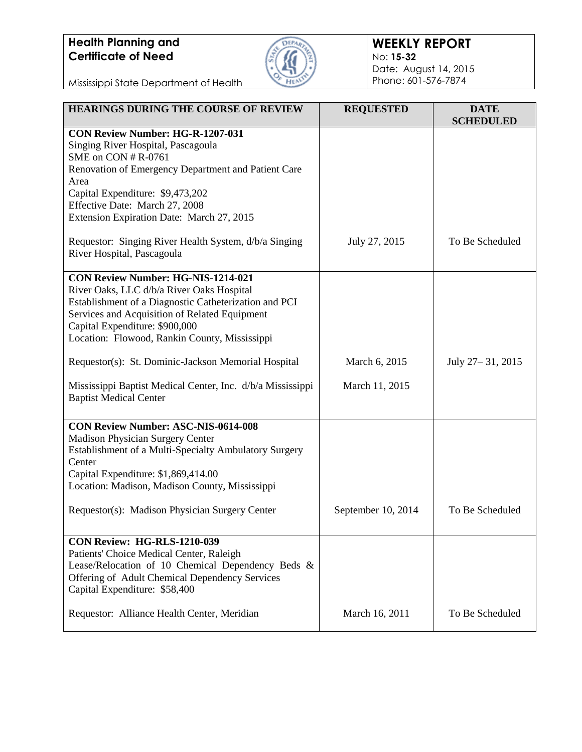# **Health Planning and Certificate of Need**



#### **WEEKLY REPORT** No: **15-32** Date: August 14, 2015 Phone: 601-576-7874

Mississippi State Department of Health

| <b>HEARINGS DURING THE COURSE OF REVIEW</b>                                                         | <b>REQUESTED</b>   | <b>DATE</b><br><b>SCHEDULED</b> |
|-----------------------------------------------------------------------------------------------------|--------------------|---------------------------------|
| CON Review Number: HG-R-1207-031                                                                    |                    |                                 |
| Singing River Hospital, Pascagoula<br>SME on CON # R-0761                                           |                    |                                 |
| Renovation of Emergency Department and Patient Care                                                 |                    |                                 |
| Area                                                                                                |                    |                                 |
| Capital Expenditure: \$9,473,202                                                                    |                    |                                 |
| Effective Date: March 27, 2008                                                                      |                    |                                 |
| Extension Expiration Date: March 27, 2015                                                           |                    |                                 |
| Requestor: Singing River Health System, d/b/a Singing<br>River Hospital, Pascagoula                 | July 27, 2015      | To Be Scheduled                 |
| <b>CON Review Number: HG-NIS-1214-021</b>                                                           |                    |                                 |
| River Oaks, LLC d/b/a River Oaks Hospital                                                           |                    |                                 |
| Establishment of a Diagnostic Catheterization and PCI                                               |                    |                                 |
| Services and Acquisition of Related Equipment<br>Capital Expenditure: \$900,000                     |                    |                                 |
| Location: Flowood, Rankin County, Mississippi                                                       |                    |                                 |
|                                                                                                     |                    |                                 |
| Requestor(s): St. Dominic-Jackson Memorial Hospital                                                 | March 6, 2015      | July 27-31, 2015                |
| Mississippi Baptist Medical Center, Inc. d/b/a Mississippi                                          | March 11, 2015     |                                 |
| <b>Baptist Medical Center</b>                                                                       |                    |                                 |
| <b>CON Review Number: ASC-NIS-0614-008</b>                                                          |                    |                                 |
| Madison Physician Surgery Center                                                                    |                    |                                 |
| Establishment of a Multi-Specialty Ambulatory Surgery                                               |                    |                                 |
| Center                                                                                              |                    |                                 |
| Capital Expenditure: \$1,869,414.00                                                                 |                    |                                 |
| Location: Madison, Madison County, Mississippi                                                      |                    |                                 |
| Requestor(s): Madison Physician Surgery Center                                                      | September 10, 2014 | To Be Scheduled                 |
|                                                                                                     |                    |                                 |
| CON Review: HG-RLS-1210-039                                                                         |                    |                                 |
| Patients' Choice Medical Center, Raleigh                                                            |                    |                                 |
| Lease/Relocation of 10 Chemical Dependency Beds &<br>Offering of Adult Chemical Dependency Services |                    |                                 |
| Capital Expenditure: \$58,400                                                                       |                    |                                 |
|                                                                                                     |                    |                                 |
| Requestor: Alliance Health Center, Meridian                                                         | March 16, 2011     | To Be Scheduled                 |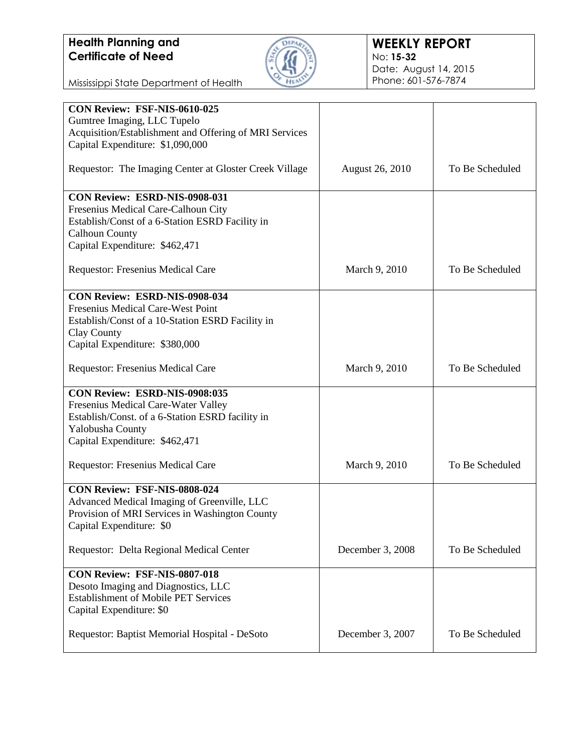

Mississippi State Department of Health

| CON Review: FSF-NIS-0610-025<br>Gumtree Imaging, LLC Tupelo                                   |                        |                 |
|-----------------------------------------------------------------------------------------------|------------------------|-----------------|
| Acquisition/Establishment and Offering of MRI Services<br>Capital Expenditure: \$1,090,000    |                        |                 |
| Requestor: The Imaging Center at Gloster Creek Village                                        | <b>August 26, 2010</b> | To Be Scheduled |
| CON Review: ESRD-NIS-0908-031<br>Fresenius Medical Care-Calhoun City                          |                        |                 |
| Establish/Const of a 6-Station ESRD Facility in<br><b>Calhoun County</b>                      |                        |                 |
| Capital Expenditure: \$462,471                                                                |                        |                 |
| Requestor: Fresenius Medical Care                                                             | March 9, 2010          | To Be Scheduled |
| <b>CON Review: ESRD-NIS-0908-034</b>                                                          |                        |                 |
| Fresenius Medical Care-West Point<br>Establish/Const of a 10-Station ESRD Facility in         |                        |                 |
| Clay County                                                                                   |                        |                 |
| Capital Expenditure: \$380,000                                                                |                        |                 |
| Requestor: Fresenius Medical Care                                                             | March 9, 2010          | To Be Scheduled |
| CON Review: ESRD-NIS-0908:035                                                                 |                        |                 |
| Fresenius Medical Care-Water Valley<br>Establish/Const. of a 6-Station ESRD facility in       |                        |                 |
| Yalobusha County                                                                              |                        |                 |
| Capital Expenditure: \$462,471                                                                |                        |                 |
| Requestor: Fresenius Medical Care                                                             | March 9, 2010          | To Be Scheduled |
| CON Review: FSF-NIS-0808-024                                                                  |                        |                 |
| Advanced Medical Imaging of Greenville, LLC<br>Provision of MRI Services in Washington County |                        |                 |
| Capital Expenditure: \$0                                                                      |                        |                 |
| Requestor: Delta Regional Medical Center                                                      | December 3, 2008       | To Be Scheduled |
| CON Review: FSF-NIS-0807-018                                                                  |                        |                 |
| Desoto Imaging and Diagnostics, LLC                                                           |                        |                 |
| <b>Establishment of Mobile PET Services</b><br>Capital Expenditure: \$0                       |                        |                 |
| Requestor: Baptist Memorial Hospital - DeSoto                                                 | December 3, 2007       | To Be Scheduled |